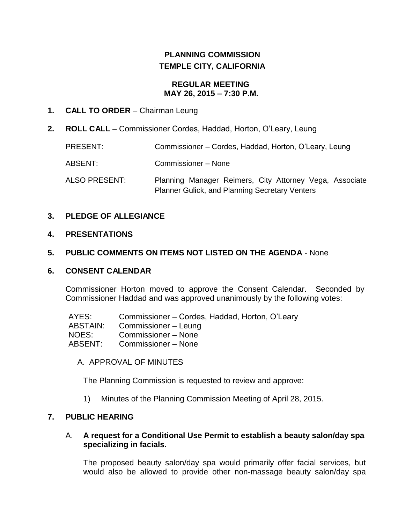# **PLANNING COMMISSION TEMPLE CITY, CALIFORNIA**

# **REGULAR MEETING MAY 26, 2015 – 7:30 P.M.**

# **1. CALL TO ORDER** – Chairman Leung

**2. ROLL CALL** – Commissioner Cordes, Haddad, Horton, O'Leary, Leung

| PRESENT:             | Commissioner – Cordes, Haddad, Horton, O'Leary, Leung                                                            |
|----------------------|------------------------------------------------------------------------------------------------------------------|
| ABSENT:              | Commissioner - None                                                                                              |
| <b>ALSO PRESENT:</b> | Planning Manager Reimers, City Attorney Vega, Associate<br><b>Planner Gulick, and Planning Secretary Venters</b> |

# **3. PLEDGE OF ALLEGIANCE**

# **4. PRESENTATIONS**

# **5. PUBLIC COMMENTS ON ITEMS NOT LISTED ON THE AGENDA** - None

# **6. CONSENT CALENDAR**

Commissioner Horton moved to approve the Consent Calendar. Seconded by Commissioner Haddad and was approved unanimously by the following votes:

AYES: Commissioner – Cordes, Haddad, Horton, O'Leary ABSTAIN: Commissioner – Leung NOES: Commissioner – None ABSENT: Commissioner – None

A. APPROVAL OF MINUTES

The Planning Commission is requested to review and approve:

1) Minutes of the Planning Commission Meeting of April 28, 2015.

# **7. PUBLIC HEARING**

#### A. **A request for a Conditional Use Permit to establish a beauty salon/day spa specializing in facials.**

The proposed beauty salon/day spa would primarily offer facial services, but would also be allowed to provide other non-massage beauty salon/day spa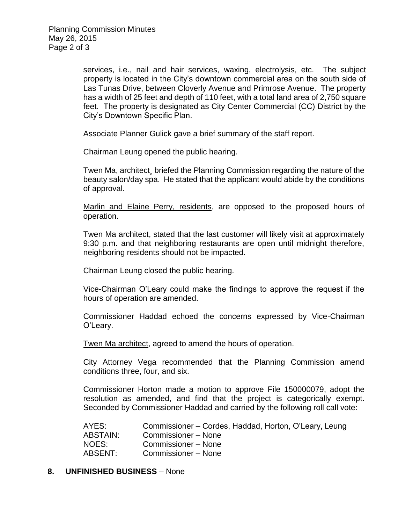services, i.e., nail and hair services, waxing, electrolysis, etc. The subject property is located in the City's downtown commercial area on the south side of Las Tunas Drive, between Cloverly Avenue and Primrose Avenue. The property has a width of 25 feet and depth of 110 feet, with a total land area of 2,750 square feet. The property is designated as City Center Commercial (CC) District by the City's Downtown Specific Plan.

Associate Planner Gulick gave a brief summary of the staff report.

Chairman Leung opened the public hearing.

Twen Ma, architect¸ briefed the Planning Commission regarding the nature of the beauty salon/day spa. He stated that the applicant would abide by the conditions of approval.

Marlin and Elaine Perry, residents, are opposed to the proposed hours of operation.

Twen Ma architect, stated that the last customer will likely visit at approximately 9:30 p.m. and that neighboring restaurants are open until midnight therefore, neighboring residents should not be impacted.

Chairman Leung closed the public hearing.

Vice-Chairman O'Leary could make the findings to approve the request if the hours of operation are amended.

Commissioner Haddad echoed the concerns expressed by Vice-Chairman O'Leary.

Twen Ma architect, agreed to amend the hours of operation.

City Attorney Vega recommended that the Planning Commission amend conditions three, four, and six.

Commissioner Horton made a motion to approve File 150000079, adopt the resolution as amended, and find that the project is categorically exempt. Seconded by Commissioner Haddad and carried by the following roll call vote:

AYES: Commissioner – Cordes, Haddad, Horton, O'Leary, Leung ABSTAIN: Commissioner – None NOES: Commissioner – None ABSENT: Commissioner – None

#### **8. UNFINISHED BUSINESS** – None